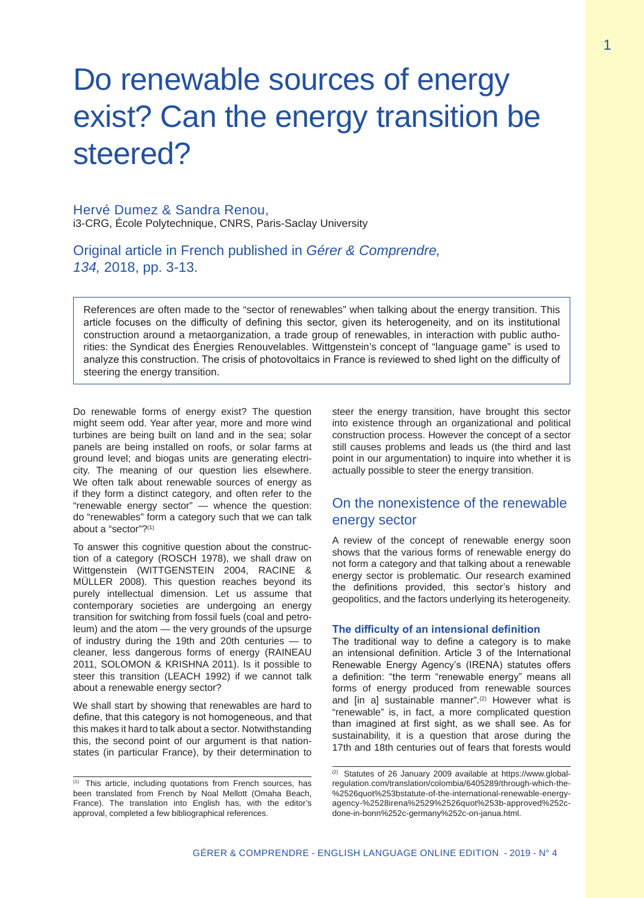# Do renewable sources of energy exist? Can the energy transition be steered?

## Hervé Dumez & Sandra Renou, i3-CRG, École Polytechnique, CNRS, Paris-Saclay University

Original article in French published in *Gérer & Comprendre, 134,* 2018, pp. 3-13.

References are often made to the "sector of renewables" when talking about the energy transition. This article focuses on the difficulty of defining this sector, given its heterogeneity, and on its institutional construction around a metaorganization, a trade group of renewables, in interaction with public authorities: the Syndicat des Énergies Renouvelables. Wittgenstein's concept of "language game" is used to analyze this construction. The crisis of photovoltaics in France is reviewed to shed light on the difficulty of steering the energy transition.

Do renewable forms of energy exist? The question might seem odd. Year after year, more and more wind turbines are being built on land and in the sea; solar panels are being installed on roofs, or solar farms at ground level; and biogas units are generating electricity. The meaning of our question lies elsewhere. We often talk about renewable sources of energy as if they form a distinct category, and often refer to the "renewable energy sector" — whence the question: do "renewables" form a category such that we can talk about a "sector"?(1)

To answer this cognitive question about the construction of a category (ROSCH 1978), we shall draw on Wittgenstein (WITTGENSTEIN 2004, RACINE & MÜLLER 2008). This question reaches beyond its purely intellectual dimension. Let us assume that contemporary societies are undergoing an energy transition for switching from fossil fuels (coal and petroleum) and the atom — the very grounds of the upsurge of industry during the 19th and 20th centuries — to cleaner, less dangerous forms of energy (RAINEAU 2011, SOLOMON & KRISHNA 2011). Is it possible to steer this transition (LEACH 1992) if we cannot talk about a renewable energy sector?

We shall start by showing that renewables are hard to define, that this category is not homogeneous, and that this makes it hard to talk about a sector. Notwithstanding this, the second point of our argument is that nationstates (in particular France), by their determination to steer the energy transition, have brought this sector into existence through an organizational and political construction process. However the concept of a sector still causes problems and leads us (the third and last point in our argumentation) to inquire into whether it is actually possible to steer the energy transition.

# On the nonexistence of the renewable energy sector

A review of the concept of renewable energy soon shows that the various forms of renewable energy do not form a category and that talking about a renewable energy sector is problematic. Our research examined the definitions provided, this sector's history and geopolitics, and the factors underlying its heterogeneity.

## **The difficulty of an intensional definition**

The traditional way to define a category is to make an intensional definition. Article 3 of the International Renewable Energy Agency's (IRENA) statutes offers a definition: "the term "renewable energy" means all forms of energy produced from renewable sources and [in a] sustainable manner".<sup>(2)</sup> However what is "renewable" is, in fact, a more complicated question than imagined at first sight, as we shall see. As for sustainability, it is a question that arose during the 17th and 18th centuries out of fears that forests would

<sup>(1)</sup> This article, including quotations from French sources, has been translated from French by Noal Mellott (Omaha Beach, France). The translation into English has, with the editor's approval, completed a few bibliographical references.

<sup>(2)</sup> Statutes of 26 January 2009 available at https://www.globalregulation.com/translation/colombia/6405289/through-which-the- %2526quot%253bstatute-of-the-international-renewable-energyagency-%2528irena%2529%2526quot%253b-approved%252cdone-in-bonn%252c-germany%252c-on-janua.html.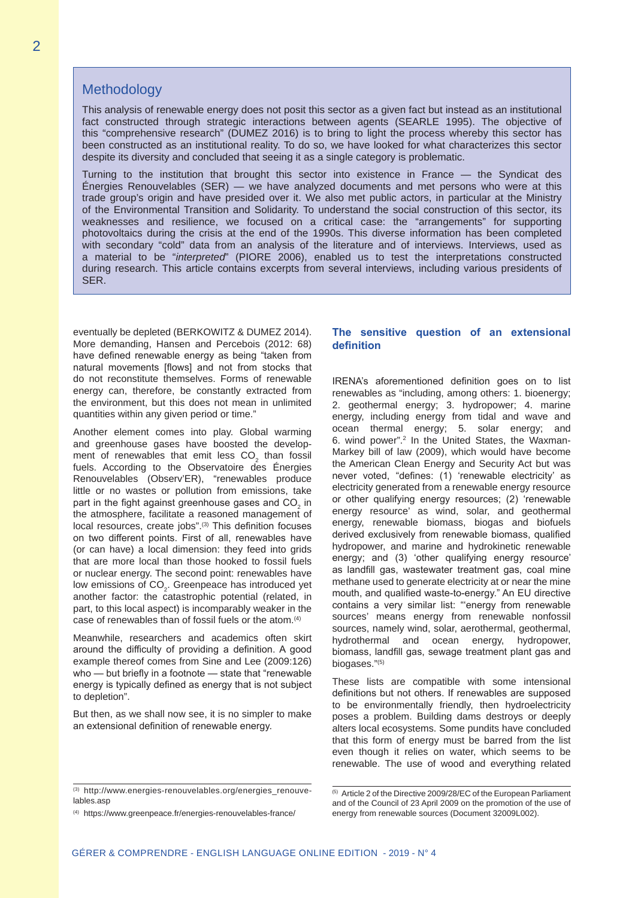2

## **Methodology**

This analysis of renewable energy does not posit this sector as a given fact but instead as an institutional fact constructed through strategic interactions between agents (SEARLE 1995). The objective of this "comprehensive research" (DUMEZ 2016) is to bring to light the process whereby this sector has been constructed as an institutional reality. To do so, we have looked for what characterizes this sector despite its diversity and concluded that seeing it as a single category is problematic.

Turning to the institution that brought this sector into existence in France — the Syndicat des Énergies Renouvelables (SER) — we have analyzed documents and met persons who were at this trade group's origin and have presided over it. We also met public actors, in particular at the Ministry of the Environmental Transition and Solidarity. To understand the social construction of this sector, its weaknesses and resilience, we focused on a critical case: the "arrangements" for supporting photovoltaics during the crisis at the end of the 1990s. This diverse information has been completed with secondary "cold" data from an analysis of the literature and of interviews. Interviews, used as a material to be "*interpreted*" (PIORE 2006), enabled us to test the interpretations constructed during research. This article contains excerpts from several interviews, including various presidents of SER.

eventually be depleted (BERKOWITZ & DUMEZ 2014). More demanding, Hansen and Percebois (2012: 68) have defined renewable energy as being "taken from natural movements [flows] and not from stocks that do not reconstitute themselves. Forms of renewable energy can, therefore, be constantly extracted from the environment, but this does not mean in unlimited quantities within any given period or time."

Another element comes into play. Global warming and greenhouse gases have boosted the development of renewables that emit less  $CO<sub>2</sub>$  than fossil fuels. According to the Observatoire des Énergies Renouvelables (Observ'ER), "renewables produce little or no wastes or pollution from emissions, take part in the fight against greenhouse gases and  $\mathrm{CO}_2$  in the atmosphere, facilitate a reasoned management of local resources, create jobs".<sup>(3)</sup> This definition focuses on two different points. First of all, renewables have (or can have) a local dimension: they feed into grids that are more local than those hooked to fossil fuels or nuclear energy. The second point: renewables have low emissions of  $CO<sub>2</sub>$ . Greenpeace has introduced yet another factor: the catastrophic potential (related, in part, to this local aspect) is incomparably weaker in the case of renewables than of fossil fuels or the atom.(4)

Meanwhile, researchers and academics often skirt around the difficulty of providing a definition. A good example thereof comes from Sine and Lee (2009:126) who — but briefly in a footnote — state that "renewable energy is typically defined as energy that is not subject to depletion".

But then, as we shall now see, it is no simpler to make an extensional definition of renewable energy.

#### (3) http://www.energies-renouvelables.org/energies\_renouvelables.asp

## **The sensitive question of an extensional definition**

IRENA's aforementioned definition goes on to list renewables as "including, among others: 1. bioenergy; 2. geothermal energy; 3. hydropower; 4. marine energy, including energy from tidal and wave and ocean thermal energy; 5. solar energy; and 6. wind power".2 In the United States, the Waxman-Markey bill of law (2009), which would have become the American Clean Energy and Security Act but was never voted, "defines: (1) 'renewable electricity' as electricity generated from a renewable energy resource or other qualifying energy resources; (2) 'renewable energy resource' as wind, solar, and geothermal energy, renewable biomass, biogas and biofuels derived exclusively from renewable biomass, qualified hydropower, and marine and hydrokinetic renewable energy; and (3) 'other qualifying energy resource' as landfill gas, wastewater treatment gas, coal mine methane used to generate electricity at or near the mine mouth, and qualified waste-to-energy." An EU directive contains a very similar list: "'energy from renewable sources' means energy from renewable nonfossil sources, namely wind, solar, aerothermal, geothermal, hydrothermal and ocean energy, hydropower, biomass, landfill gas, sewage treatment plant gas and biogases."(5)

These lists are compatible with some intensional definitions but not others. If renewables are supposed to be environmentally friendly, then hydroelectricity poses a problem. Building dams destroys or deeply alters local ecosystems. Some pundits have concluded that this form of energy must be barred from the list even though it relies on water, which seems to be renewable. The use of wood and everything related

<sup>(4)</sup> https://www.greenpeace.fr/energies-renouvelables-france/

<sup>(5)</sup> Article 2 of the Directive 2009/28/EC of the European Parliament and of the Council of 23 April 2009 on the promotion of the use of energy from renewable sources (Document 32009L002).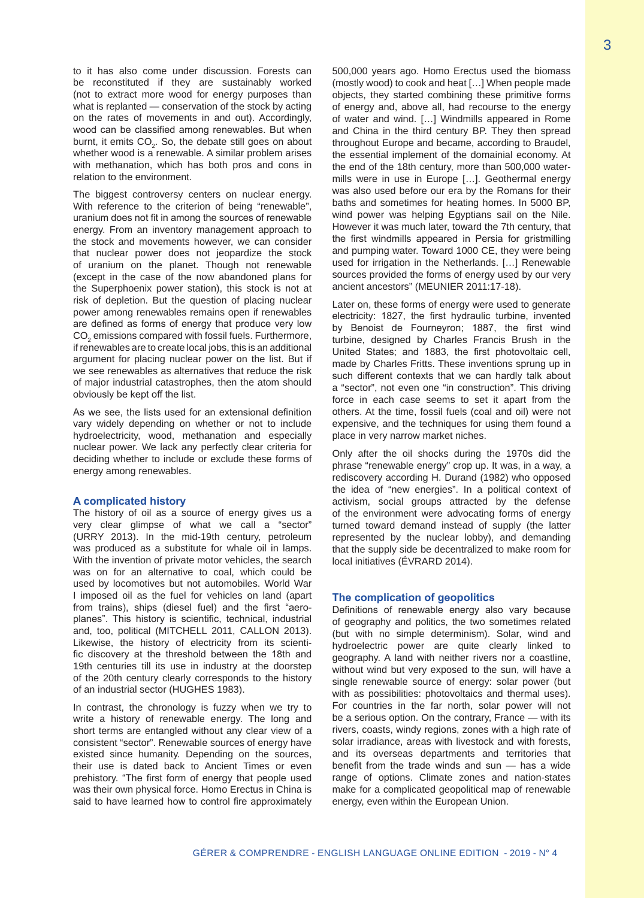to it has also come under discussion. Forests can be reconstituted if they are sustainably worked (not to extract more wood for energy purposes than what is replanted — conservation of the stock by acting on the rates of movements in and out). Accordingly, wood can be classified among renewables. But when burnt, it emits  $CO<sub>2</sub>$ . So, the debate still goes on about whether wood is a renewable. A similar problem arises with methanation, which has both pros and cons in relation to the environment.

The biggest controversy centers on nuclear energy. With reference to the criterion of being "renewable", uranium does not fit in among the sources of renewable energy. From an inventory management approach to the stock and movements however, we can consider that nuclear power does not jeopardize the stock of uranium on the planet. Though not renewable (except in the case of the now abandoned plans for the Superphoenix power station), this stock is not at risk of depletion. But the question of placing nuclear power among renewables remains open if renewables are defined as forms of energy that produce very low  $CO<sub>2</sub>$  emissions compared with fossil fuels. Furthermore, if renewables are to create local jobs, this is an additional argument for placing nuclear power on the list. But if we see renewables as alternatives that reduce the risk of major industrial catastrophes, then the atom should obviously be kept off the list.

As we see, the lists used for an extensional definition vary widely depending on whether or not to include hydroelectricity, wood, methanation and especially nuclear power. We lack any perfectly clear criteria for deciding whether to include or exclude these forms of energy among renewables.

#### **A complicated history**

The history of oil as a source of energy gives us a very clear glimpse of what we call a "sector" (URRY 2013). In the mid-19th century, petroleum was produced as a substitute for whale oil in lamps. With the invention of private motor vehicles, the search was on for an alternative to coal, which could be used by locomotives but not automobiles. World War I imposed oil as the fuel for vehicles on land (apart from trains), ships (diesel fuel) and the first "aeroplanes". This history is scientific, technical, industrial and, too, political (MITCHELL 2011, CALLON 2013). Likewise, the history of electricity from its scientific discovery at the threshold between the 18th and 19th centuries till its use in industry at the doorstep of the 20th century clearly corresponds to the history of an industrial sector (HUGHES 1983).

In contrast, the chronology is fuzzy when we try to write a history of renewable energy. The long and short terms are entangled without any clear view of a consistent "sector". Renewable sources of energy have existed since humanity. Depending on the sources, their use is dated back to Ancient Times or even prehistory. "The first form of energy that people used was their own physical force. Homo Erectus in China is said to have learned how to control fire approximately 500,000 years ago. Homo Erectus used the biomass (mostly wood) to cook and heat […] When people made objects, they started combining these primitive forms of energy and, above all, had recourse to the energy of water and wind. […] Windmills appeared in Rome and China in the third century BP. They then spread throughout Europe and became, according to Braudel, the essential implement of the domainial economy. At the end of the 18th century, more than 500,000 watermills were in use in Europe […]. Geothermal energy was also used before our era by the Romans for their baths and sometimes for heating homes. In 5000 BP, wind power was helping Egyptians sail on the Nile. However it was much later, toward the 7th century, that the first windmills appeared in Persia for gristmilling and pumping water. Toward 1000 CE, they were being used for irrigation in the Netherlands. […] Renewable sources provided the forms of energy used by our very ancient ancestors" (MEUNIER 2011:17-18).

Later on, these forms of energy were used to generate electricity: 1827, the first hydraulic turbine, invented by Benoist de Fourneyron; 1887, the first wind turbine, designed by Charles Francis Brush in the United States; and 1883, the first photovoltaic cell, made by Charles Fritts. These inventions sprung up in such different contexts that we can hardly talk about a "sector", not even one "in construction". This driving force in each case seems to set it apart from the others. At the time, fossil fuels (coal and oil) were not expensive, and the techniques for using them found a place in very narrow market niches.

Only after the oil shocks during the 1970s did the phrase "renewable energy" crop up. It was, in a way, a rediscovery according H. Durand (1982) who opposed the idea of "new energies". In a political context of activism, social groups attracted by the defense of the environment were advocating forms of energy turned toward demand instead of supply (the latter represented by the nuclear lobby), and demanding that the supply side be decentralized to make room for local initiatives (ÉVRARD 2014).

#### **The complication of geopolitics**

Definitions of renewable energy also vary because of geography and politics, the two sometimes related (but with no simple determinism). Solar, wind and hydroelectric power are quite clearly linked to geography. A land with neither rivers nor a coastline, without wind but very exposed to the sun, will have a single renewable source of energy: solar power (but with as possibilities: photovoltaics and thermal uses). For countries in the far north, solar power will not be a serious option. On the contrary, France — with its rivers, coasts, windy regions, zones with a high rate of solar irradiance, areas with livestock and with forests, and its overseas departments and territories that benefit from the trade winds and sun — has a wide range of options. Climate zones and nation-states make for a complicated geopolitical map of renewable energy, even within the European Union.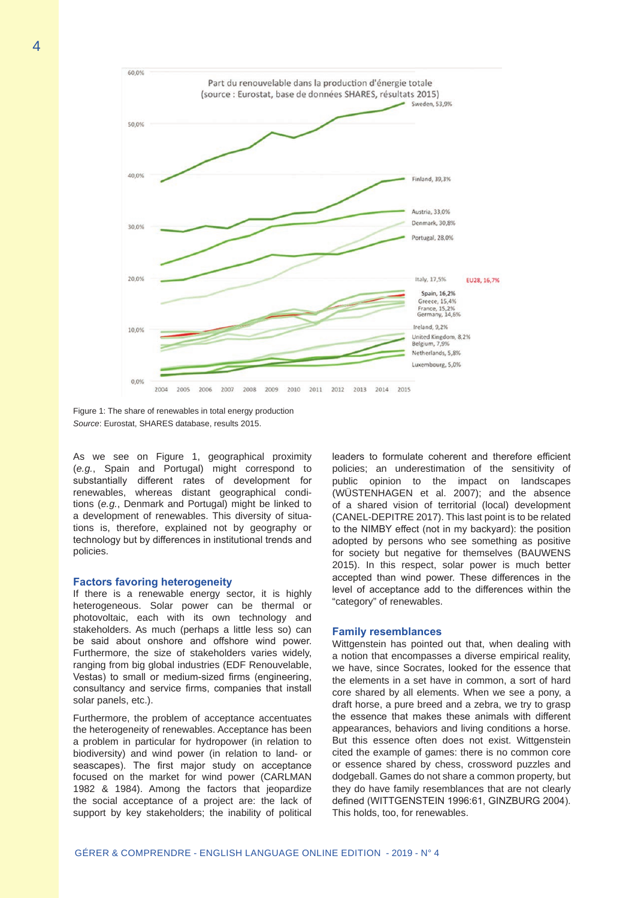

Figure 1: The share of renewables in total energy production *Source*: Eurostat, SHARES database, results 2015.

As we see on Figure 1, geographical proximity (*e.g.*, Spain and Portugal) might correspond to substantially different rates of development for renewables, whereas distant geographical conditions (*e.g.*, Denmark and Portugal) might be linked to a development of renewables. This diversity of situations is, therefore, explained not by geography or technology but by differences in institutional trends and policies.

#### **Factors favoring heterogeneity**

If there is a renewable energy sector, it is highly heterogeneous. Solar power can be thermal or photovoltaic, each with its own technology and stakeholders. As much (perhaps a little less so) can be said about onshore and offshore wind power. Furthermore, the size of stakeholders varies widely, ranging from big global industries (EDF Renouvelable, Vestas) to small or medium-sized firms (engineering, consultancy and service firms, companies that install solar panels, etc.).

Furthermore, the problem of acceptance accentuates the heterogeneity of renewables. Acceptance has been a problem in particular for hydropower (in relation to biodiversity) and wind power (in relation to land- or seascapes). The first major study on acceptance focused on the market for wind power (CARLMAN 1982 & 1984). Among the factors that jeopardize the social acceptance of a project are: the lack of support by key stakeholders; the inability of political leaders to formulate coherent and therefore efficient policies; an underestimation of the sensitivity of public opinion to the impact on landscapes (WÜSTENHAGEN et al. 2007); and the absence of a shared vision of territorial (local) development (CANEL-DEPITRE 2017). This last point is to be related to the NIMBY effect (not in my backyard): the position adopted by persons who see something as positive for society but negative for themselves (BAUWENS 2015). In this respect, solar power is much better accepted than wind power. These differences in the level of acceptance add to the differences within the "category" of renewables.

#### **Family resemblances**

Wittgenstein has pointed out that, when dealing with a notion that encompasses a diverse empirical reality, we have, since Socrates, looked for the essence that the elements in a set have in common, a sort of hard core shared by all elements. When we see a pony, a draft horse, a pure breed and a zebra, we try to grasp the essence that makes these animals with different appearances, behaviors and living conditions a horse. But this essence often does not exist. Wittgenstein cited the example of games: there is no common core or essence shared by chess, crossword puzzles and dodgeball. Games do not share a common property, but they do have family resemblances that are not clearly defined (WITTGENSTEIN 1996:61, GINZBURG 2004). This holds, too, for renewables.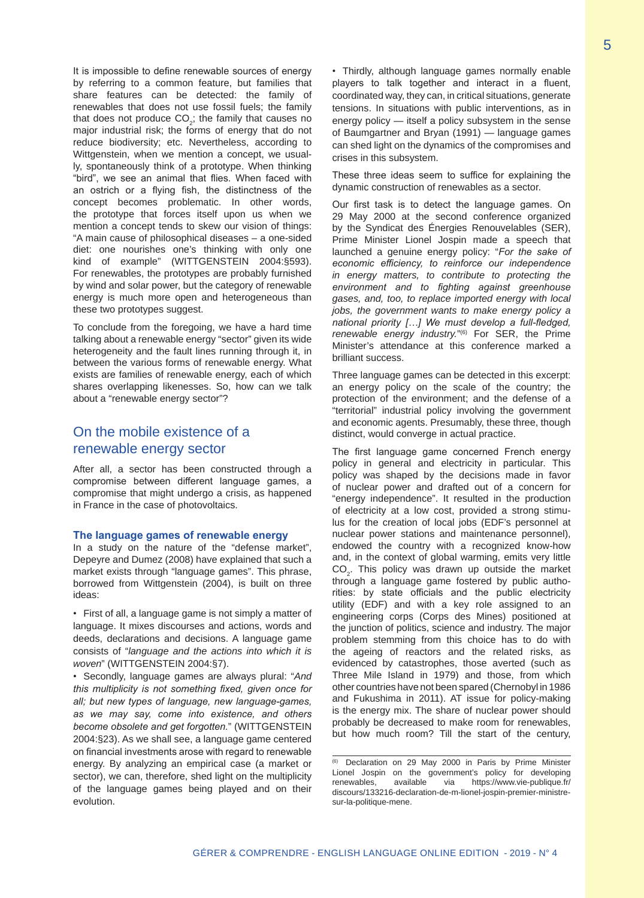It is impossible to define renewable sources of energy by referring to a common feature, but families that share features can be detected: the family of renewables that does not use fossil fuels; the family that does not produce  $CO<sub>2</sub>$ ; the family that causes no major industrial risk; the forms of energy that do not reduce biodiversity; etc. Nevertheless, according to Wittgenstein, when we mention a concept, we usually, spontaneously think of a prototype. When thinking "bird", we see an animal that flies. When faced with an ostrich or a flying fish, the distinctness of the concept becomes problematic. In other words, the prototype that forces itself upon us when we mention a concept tends to skew our vision of things: "A main cause of philosophical diseases – a one-sided diet: one nourishes one's thinking with only one kind of example" (WITTGENSTEIN 2004:§593). For renewables, the prototypes are probably furnished by wind and solar power, but the category of renewable energy is much more open and heterogeneous than these two prototypes suggest.

To conclude from the foregoing, we have a hard time talking about a renewable energy "sector" given its wide heterogeneity and the fault lines running through it, in between the various forms of renewable energy. What exists are families of renewable energy, each of which shares overlapping likenesses. So, how can we talk about a "renewable energy sector"?

# On the mobile existence of a renewable energy sector

After all, a sector has been constructed through a compromise between different language games, a compromise that might undergo a crisis, as happened in France in the case of photovoltaics.

## **The language games of renewable energy**

In a study on the nature of the "defense market", Depeyre and Dumez (2008) have explained that such a market exists through "language games". This phrase, borrowed from Wittgenstein (2004), is built on three ideas:

• First of all, a language game is not simply a matter of language. It mixes discourses and actions, words and deeds, declarations and decisions. A language game consists of "*language and the actions into which it is woven*" (WITTGENSTEIN 2004:§7).

• Secondly, language games are always plural: "*And this multiplicity is not something fixed, given once for all; but new types of language, new language-games, as we may say, come into existence, and others become obsolete and get forgotten.*" (WITTGENSTEIN 2004:§23). As we shall see, a language game centered on financial investments arose with regard to renewable energy. By analyzing an empirical case (a market or sector), we can, therefore, shed light on the multiplicity of the language games being played and on their evolution.

• Thirdly, although language games normally enable players to talk together and interact in a fluent, coordinated way, they can, in critical situations, generate tensions. In situations with public interventions, as in energy policy — itself a policy subsystem in the sense of Baumgartner and Bryan (1991) — language games can shed light on the dynamics of the compromises and crises in this subsystem.

These three ideas seem to suffice for explaining the dynamic construction of renewables as a sector.

Our first task is to detect the language games. On 29 May 2000 at the second conference organized by the Syndicat des Énergies Renouvelables (SER), Prime Minister Lionel Jospin made a speech that launched a genuine energy policy: "*For the sake of economic efficiency, to reinforce our independence in energy matters, to contribute to protecting the environment and to fighting against greenhouse gases, and, too, to replace imported energy with local jobs, the government wants to make energy policy a national priority […] We must develop a full-fledged, renewable energy industry.*"(6) For SER, the Prime Minister's attendance at this conference marked a brilliant success.

Three language games can be detected in this excerpt: an energy policy on the scale of the country; the protection of the environment; and the defense of a "territorial" industrial policy involving the government and economic agents. Presumably, these three, though distinct, would converge in actual practice.

The first language game concerned French energy policy in general and electricity in particular. This policy was shaped by the decisions made in favor of nuclear power and drafted out of a concern for "energy independence". It resulted in the production of electricity at a low cost, provided a strong stimulus for the creation of local jobs (EDF's personnel at nuclear power stations and maintenance personnel), endowed the country with a recognized know-how and, in the context of global warming, emits very little  $\mathsf{CO}_{2}$ . This policy was drawn up outside the market through a language game fostered by public authorities: by state officials and the public electricity utility (EDF) and with a key role assigned to an engineering corps (Corps des Mines) positioned at the junction of politics, science and industry. The major problem stemming from this choice has to do with the ageing of reactors and the related risks, as evidenced by catastrophes, those averted (such as Three Mile Island in 1979) and those, from which other countries have not been spared (Chernobyl in 1986 and Fukushima in 2011). AT issue for policy-making is the energy mix. The share of nuclear power should probably be decreased to make room for renewables, but how much room? Till the start of the century,

<sup>(6)</sup> Declaration on 29 May 2000 in Paris by Prime Minister Lionel Jospin on the government's policy for developing<br>renewables available via https://www.vie-publique.fr/ via https://www.vie-publique.fr/ discours/133216-declaration-de-m-lionel-jospin-premier-ministresur-la-politique-mene.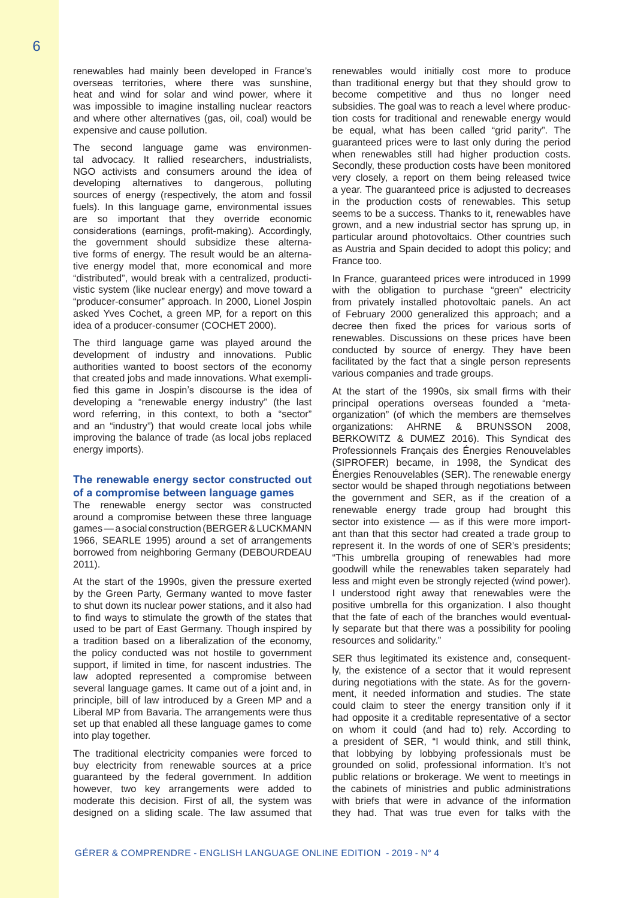renewables had mainly been developed in France's overseas territories, where there was sunshine, heat and wind for solar and wind power, where it was impossible to imagine installing nuclear reactors and where other alternatives (gas, oil, coal) would be expensive and cause pollution.

The second language game was environmental advocacy. It rallied researchers, industrialists, NGO activists and consumers around the idea of developing alternatives to dangerous, polluting sources of energy (respectively, the atom and fossil fuels). In this language game, environmental issues are so important that they override economic considerations (earnings, profit-making). Accordingly, the government should subsidize these alternative forms of energy. The result would be an alternative energy model that, more economical and more "distributed", would break with a centralized, productivistic system (like nuclear energy) and move toward a "producer-consumer" approach. In 2000, Lionel Jospin asked Yves Cochet, a green MP, for a report on this idea of a producer-consumer (COCHET 2000).

The third language game was played around the development of industry and innovations. Public authorities wanted to boost sectors of the economy that created jobs and made innovations. What exemplified this game in Jospin's discourse is the idea of developing a "renewable energy industry" (the last word referring, in this context, to both a "sector" and an "industry") that would create local jobs while improving the balance of trade (as local jobs replaced energy imports).

## **The renewable energy sector constructed out of a compromise between language games**

The renewable energy sector was constructed around a compromise between these three language games — a social construction (BERGER & LUCKMANN 1966, SEARLE 1995) around a set of arrangements borrowed from neighboring Germany (DEBOURDEAU 2011).

At the start of the 1990s, given the pressure exerted by the Green Party, Germany wanted to move faster to shut down its nuclear power stations, and it also had to find ways to stimulate the growth of the states that used to be part of East Germany. Though inspired by a tradition based on a liberalization of the economy, the policy conducted was not hostile to government support, if limited in time, for nascent industries. The law adopted represented a compromise between several language games. It came out of a joint and, in principle, bill of law introduced by a Green MP and a Liberal MP from Bavaria. The arrangements were thus set up that enabled all these language games to come into play together.

The traditional electricity companies were forced to buy electricity from renewable sources at a price guaranteed by the federal government. In addition however, two key arrangements were added to moderate this decision. First of all, the system was designed on a sliding scale. The law assumed that

renewables would initially cost more to produce than traditional energy but that they should grow to become competitive and thus no longer need subsidies. The goal was to reach a level where production costs for traditional and renewable energy would be equal, what has been called "grid parity". The guaranteed prices were to last only during the period when renewables still had higher production costs. Secondly, these production costs have been monitored very closely, a report on them being released twice a year. The guaranteed price is adjusted to decreases in the production costs of renewables. This setup seems to be a success. Thanks to it, renewables have grown, and a new industrial sector has sprung up, in particular around photovoltaics. Other countries such as Austria and Spain decided to adopt this policy; and France too.

In France, guaranteed prices were introduced in 1999 with the obligation to purchase "green" electricity from privately installed photovoltaic panels. An act of February 2000 generalized this approach; and a decree then fixed the prices for various sorts of renewables. Discussions on these prices have been conducted by source of energy. They have been facilitated by the fact that a single person represents various companies and trade groups.

At the start of the 1990s, six small firms with their principal operations overseas founded a "metaorganization" (of which the members are themselves organizations: AHRNE & BRUNSSON 2008, BERKOWITZ & DUMEZ 2016). This Syndicat des Professionnels Français des Énergies Renouvelables (SIPROFER) became, in 1998, the Syndicat des Énergies Renouvelables (SER). The renewable energy sector would be shaped through negotiations between the government and SER, as if the creation of a renewable energy trade group had brought this sector into existence — as if this were more important than that this sector had created a trade group to represent it. In the words of one of SER's presidents; "This umbrella grouping of renewables had more goodwill while the renewables taken separately had less and might even be strongly rejected (wind power). I understood right away that renewables were the positive umbrella for this organization. I also thought that the fate of each of the branches would eventually separate but that there was a possibility for pooling resources and solidarity."

SER thus legitimated its existence and, consequently, the existence of a sector that it would represent during negotiations with the state. As for the government, it needed information and studies. The state could claim to steer the energy transition only if it had opposite it a creditable representative of a sector on whom it could (and had to) rely. According to a president of SER, "I would think, and still think, that lobbying by lobbying professionals must be grounded on solid, professional information. It's not public relations or brokerage. We went to meetings in the cabinets of ministries and public administrations with briefs that were in advance of the information they had. That was true even for talks with the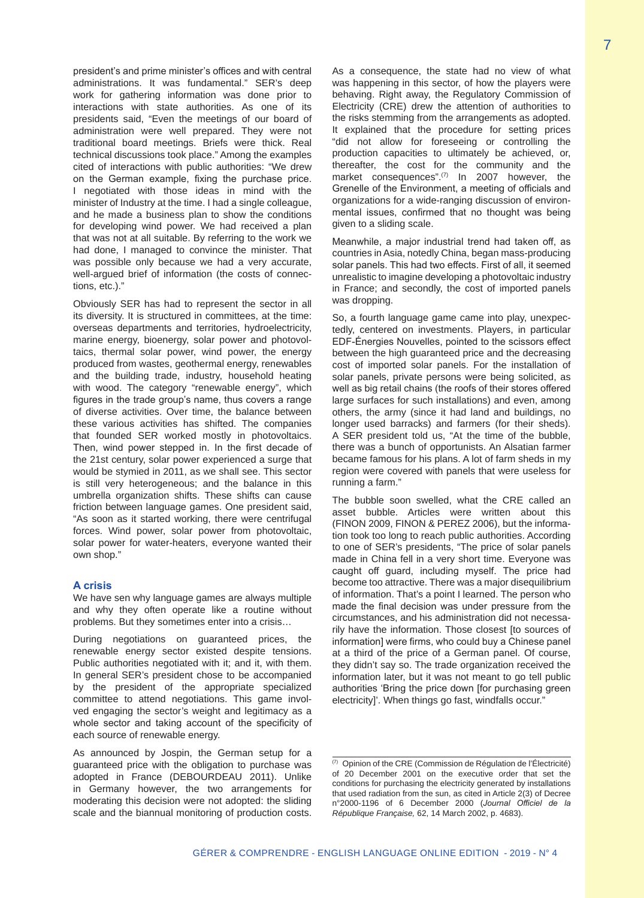president's and prime minister's offices and with central administrations. It was fundamental." SER's deep work for gathering information was done prior to interactions with state authorities. As one of its presidents said, "Even the meetings of our board of administration were well prepared. They were not traditional board meetings. Briefs were thick. Real technical discussions took place." Among the examples cited of interactions with public authorities: "We drew on the German example, fixing the purchase price. I negotiated with those ideas in mind with the minister of Industry at the time. I had a single colleague, and he made a business plan to show the conditions for developing wind power. We had received a plan that was not at all suitable. By referring to the work we had done, I managed to convince the minister. That was possible only because we had a very accurate, well-argued brief of information (the costs of connections, etc.)."

Obviously SER has had to represent the sector in all its diversity. It is structured in committees, at the time: overseas departments and territories, hydroelectricity, marine energy, bioenergy, solar power and photovoltaics, thermal solar power, wind power, the energy produced from wastes, geothermal energy, renewables and the building trade, industry, household heating with wood. The category "renewable energy", which figures in the trade group's name, thus covers a range of diverse activities. Over time, the balance between these various activities has shifted. The companies that founded SER worked mostly in photovoltaics. Then, wind power stepped in. In the first decade of the 21st century, solar power experienced a surge that would be stymied in 2011, as we shall see. This sector is still very heterogeneous; and the balance in this umbrella organization shifts. These shifts can cause friction between language games. One president said, "As soon as it started working, there were centrifugal forces. Wind power, solar power from photovoltaic, solar power for water-heaters, everyone wanted their own shop."

#### **A crisis**

We have sen why language games are always multiple and why they often operate like a routine without problems. But they sometimes enter into a crisis…

During negotiations on guaranteed prices, the renewable energy sector existed despite tensions. Public authorities negotiated with it; and it, with them. In general SER's president chose to be accompanied by the president of the appropriate specialized committee to attend negotiations. This game involved engaging the sector's weight and legitimacy as a whole sector and taking account of the specificity of each source of renewable energy.

As announced by Jospin, the German setup for a guaranteed price with the obligation to purchase was adopted in France (DEBOURDEAU 2011). Unlike in Germany however, the two arrangements for moderating this decision were not adopted: the sliding scale and the biannual monitoring of production costs. As a consequence, the state had no view of what was happening in this sector, of how the players were behaving. Right away, the Regulatory Commission of Electricity (CRE) drew the attention of authorities to the risks stemming from the arrangements as adopted. It explained that the procedure for setting prices "did not allow for foreseeing or controlling the production capacities to ultimately be achieved, or, thereafter, the cost for the community and the market consequences".<sup>(7)</sup> In 2007 however, the Grenelle of the Environment, a meeting of officials and organizations for a wide-ranging discussion of environmental issues, confirmed that no thought was being given to a sliding scale.

Meanwhile, a major industrial trend had taken off, as countries in Asia, notedly China, began mass-producing solar panels. This had two effects. First of all, it seemed unrealistic to imagine developing a photovoltaic industry in France; and secondly, the cost of imported panels was dropping.

So, a fourth language game came into play, unexpectedly, centered on investments. Players, in particular EDF-Énergies Nouvelles, pointed to the scissors effect between the high guaranteed price and the decreasing cost of imported solar panels. For the installation of solar panels, private persons were being solicited, as well as big retail chains (the roofs of their stores offered large surfaces for such installations) and even, among others, the army (since it had land and buildings, no longer used barracks) and farmers (for their sheds). A SER president told us, "At the time of the bubble, there was a bunch of opportunists. An Alsatian farmer became famous for his plans. A lot of farm sheds in my region were covered with panels that were useless for running a farm."

The bubble soon swelled, what the CRE called an asset bubble. Articles were written about this (FINON 2009, FINON & PEREZ 2006), but the information took too long to reach public authorities. According to one of SER's presidents, "The price of solar panels made in China fell in a very short time. Everyone was caught off guard, including myself. The price had become too attractive. There was a major disequilibrium of information. That's a point I learned. The person who made the final decision was under pressure from the circumstances, and his administration did not necessarily have the information. Those closest [to sources of information] were firms, who could buy a Chinese panel at a third of the price of a German panel. Of course, they didn't say so. The trade organization received the information later, but it was not meant to go tell public authorities 'Bring the price down [for purchasing green electricity]'. When things go fast, windfalls occur."

 $(7)$  Opinion of the CRE (Commission de Régulation de l'Électricité) of 20 December 2001 on the executive order that set the conditions for purchasing the electricity generated by installations that used radiation from the sun, as cited in Article 2(3) of Decree n°2000-1196 of 6 December 2000 (*Journal Officiel de la République Française,* 62, 14 March 2002, p. 4683).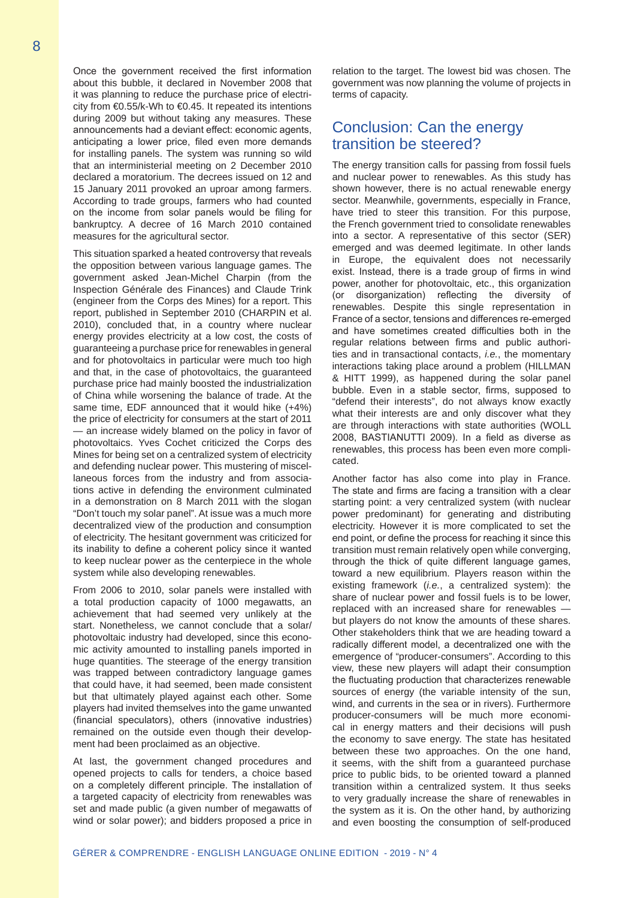Once the government received the first information about this bubble, it declared in November 2008 that it was planning to reduce the purchase price of electricity from €0.55/k-Wh to €0.45. It repeated its intentions during 2009 but without taking any measures. These announcements had a deviant effect: economic agents, anticipating a lower price, filed even more demands for installing panels. The system was running so wild that an interministerial meeting on 2 December 2010 declared a moratorium. The decrees issued on 12 and 15 January 2011 provoked an uproar among farmers. According to trade groups, farmers who had counted on the income from solar panels would be filing for bankruptcy. A decree of 16 March 2010 contained measures for the agricultural sector.

This situation sparked a heated controversy that reveals the opposition between various language games. The government asked Jean-Michel Charpin (from the Inspection Générale des Finances) and Claude Trink (engineer from the Corps des Mines) for a report. This report, published in September 2010 (CHARPIN et al. 2010), concluded that, in a country where nuclear energy provides electricity at a low cost, the costs of guaranteeing a purchase price for renewables in general and for photovoltaics in particular were much too high and that, in the case of photovoltaics, the guaranteed purchase price had mainly boosted the industrialization of China while worsening the balance of trade. At the same time, EDF announced that it would hike (+4%) the price of electricity for consumers at the start of 2011 — an increase widely blamed on the policy in favor of photovoltaics. Yves Cochet criticized the Corps des Mines for being set on a centralized system of electricity and defending nuclear power. This mustering of miscellaneous forces from the industry and from associations active in defending the environment culminated in a demonstration on 8 March 2011 with the slogan "Don't touch my solar panel". At issue was a much more decentralized view of the production and consumption of electricity. The hesitant government was criticized for its inability to define a coherent policy since it wanted to keep nuclear power as the centerpiece in the whole system while also developing renewables.

From 2006 to 2010, solar panels were installed with a total production capacity of 1000 megawatts, an achievement that had seemed very unlikely at the start. Nonetheless, we cannot conclude that a solar/ photovoltaic industry had developed, since this economic activity amounted to installing panels imported in huge quantities. The steerage of the energy transition was trapped between contradictory language games that could have, it had seemed, been made consistent but that ultimately played against each other. Some players had invited themselves into the game unwanted (financial speculators), others (innovative industries) remained on the outside even though their development had been proclaimed as an objective.

At last, the government changed procedures and opened projects to calls for tenders, a choice based on a completely different principle. The installation of a targeted capacity of electricity from renewables was set and made public (a given number of megawatts of wind or solar power); and bidders proposed a price in

relation to the target. The lowest bid was chosen. The government was now planning the volume of projects in terms of capacity.

# Conclusion: Can the energy transition be steered?

The energy transition calls for passing from fossil fuels and nuclear power to renewables. As this study has shown however, there is no actual renewable energy sector. Meanwhile, governments, especially in France, have tried to steer this transition. For this purpose, the French government tried to consolidate renewables into a sector. A representative of this sector (SER) emerged and was deemed legitimate. In other lands in Europe, the equivalent does not necessarily exist. Instead, there is a trade group of firms in wind power, another for photovoltaic, etc., this organization (or disorganization) reflecting the diversity of renewables. Despite this single representation in France of a sector, tensions and differences re-emerged and have sometimes created difficulties both in the regular relations between firms and public authorities and in transactional contacts, *i.e.*, the momentary interactions taking place around a problem (HILLMAN & HITT 1999), as happened during the solar panel bubble. Even in a stable sector, firms, supposed to "defend their interests", do not always know exactly what their interests are and only discover what they are through interactions with state authorities (WOLL 2008, BASTIANUTTI 2009). In a field as diverse as renewables, this process has been even more complicated.

Another factor has also come into play in France. The state and firms are facing a transition with a clear starting point: a very centralized system (with nuclear power predominant) for generating and distributing electricity. However it is more complicated to set the end point, or define the process for reaching it since this transition must remain relatively open while converging, through the thick of quite different language games, toward a new equilibrium. Players reason within the existing framework (*i.e.*, a centralized system): the share of nuclear power and fossil fuels is to be lower, replaced with an increased share for renewables but players do not know the amounts of these shares. Other stakeholders think that we are heading toward a radically different model, a decentralized one with the emergence of "producer-consumers". According to this view, these new players will adapt their consumption the fluctuating production that characterizes renewable sources of energy (the variable intensity of the sun, wind, and currents in the sea or in rivers). Furthermore producer-consumers will be much more economical in energy matters and their decisions will push the economy to save energy. The state has hesitated between these two approaches. On the one hand, it seems, with the shift from a guaranteed purchase price to public bids, to be oriented toward a planned transition within a centralized system. It thus seeks to very gradually increase the share of renewables in the system as it is. On the other hand, by authorizing and even boosting the consumption of self-produced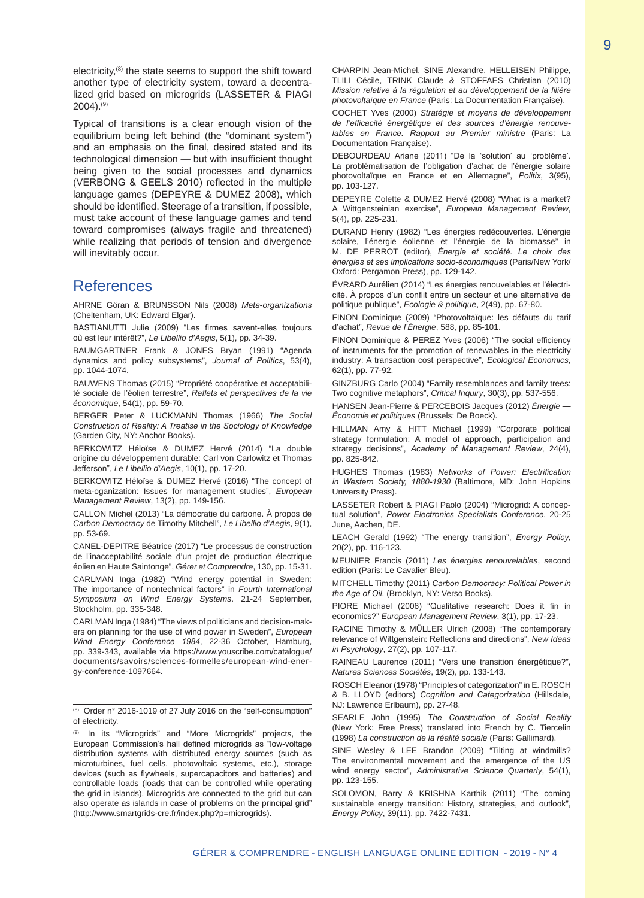electricity,(8) the state seems to support the shift toward another type of electricity system, toward a decentralized grid based on microgrids (LASSETER & PIAGI 2004).(9)

Typical of transitions is a clear enough vision of the equilibrium being left behind (the "dominant system") and an emphasis on the final, desired stated and its technological dimension — but with insufficient thought being given to the social processes and dynamics (VERBONG & GEELS 2010) reflected in the multiple language games (DEPEYRE & DUMEZ 2008), which should be identified. Steerage of a transition, if possible, must take account of these language games and tend toward compromises (always fragile and threatened) while realizing that periods of tension and divergence will inevitably occur.

# References

AHRNE Göran & BRUNSSON Nils (2008) *Meta-organizations* (Cheltenham, UK: Edward Elgar).

BASTIANUTTI Julie (2009) "Les firmes savent-elles toujours où est leur intérêt?", *Le Libellio d'Aegis*, 5(1), pp. 34-39.

BAUMGARTNER Frank & JONES Bryan (1991) "Agenda dynamics and policy subsystems", *Journal of Politics*, 53(4), pp. 1044-1074.

BAUWENS Thomas (2015) "Propriété coopérative et acceptabilité sociale de l'éolien terrestre", *Reflets et perspectives de la vie économique*, 54(1), pp. 59-70.

BERGER Peter & LUCKMANN Thomas (1966) *The Social Construction of Reality: A Treatise in the Sociology of Knowledge* (Garden City, NY: Anchor Books).

BERKOWITZ Héloïse & DUMEZ Hervé (2014) "La double origine du développement durable: Carl von Carlowitz et Thomas Jefferson", *Le Libellio d'Aegis*, 10(1), pp. 17-20.

BERKOWITZ Héloïse & DUMEZ Hervé (2016) "The concept of meta-oganization: Issues for management studies", *European Management Review*, 13(2), pp. 149-156.

CALLON Michel (2013) "La démocratie du carbone. À propos de *Carbon Democracy* de Timothy Mitchell", *Le Libellio d'Aegis*, 9(1), pp. 53-69.

CANEL-DEPITRE Béatrice (2017) "Le processus de construction de l'inacceptabilité sociale d'un projet de production électrique éolien en Haute Saintonge", *Gérer et Comprendre*, 130, pp. 15-31.

CARLMAN Inga (1982) "Wind energy potential in Sweden: The importance of nontechnical factors" in *Fourth International Symposium on Wind Energy Systems*. 21-24 September, Stockholm, pp. 335-348.

CARLMAN Inga (1984) "The views of politicians and decision-makers on planning for the use of wind power in Sweden", *European Wind Energy Conference 1984*, 22-36 October, Hamburg, pp. 339-343, available via https://www.youscribe.com/catalogue/ documents/savoirs/sciences-formelles/european-wind-energy-conference-1097664.

CHARPIN Jean-Michel, SINE Alexandre, HELLEISEN Philippe, TLILI Cécile, TRINK Claude & STOFFAES Christian (2010) *Mission relative à la régulation et au développement de la filière photovoltaïque en France* (Paris: La Documentation Française).

COCHET Yves (2000) *Stratégie et moyens de développement de l'efficacité énergétique et des sources d'énergie renouvelables en France. Rapport au Premier ministre* (Paris: La Documentation Française).

DEBOURDEAU Ariane (2011) "De la 'solution' au 'problème'. La problématisation de l'obligation d'achat de l'énergie solaire photovoltaïque en France et en Allemagne", *Politix*, 3(95), pp. 103-127.

DEPEYRE Colette & DUMEZ Hervé (2008) "What is a market? A Wittgensteinian exercise", *European Management Review*, 5(4), pp. 225-231.

DURAND Henry (1982) "Les énergies redécouvertes. L'énergie solaire, l'énergie éolienne et l'énergie de la biomasse" in M. DE PERROT (editor), *Énergie et société. Le choix des énergies et ses implications socio-économiques* (Paris/New York/ Oxford: Pergamon Press), pp. 129-142.

ÉVRARD Aurélien (2014) "Les énergies renouvelables et l'électricité. À propos d'un conflit entre un secteur et une alternative de politique publique", *Ecologie & politique*, 2(49), pp. 67-80.

FINON Dominique (2009) "Photovoltaïque: les défauts du tarif d'achat", *Revue de l'Énergie*, 588, pp. 85-101.

FINON Dominique & PEREZ Yves (2006) "The social efficiency of instruments for the promotion of renewables in the electricity industry: A transaction cost perspective", *Ecological Economics*, 62(1), pp. 77-92.

GINZBURG Carlo (2004) "Family resemblances and family trees: Two cognitive metaphors", *Critical Inquiry*, 30(3), pp. 537-556.

HANSEN Jean-Pierre & PERCEBOIS Jacques (2012) *Énergie — Économie et politiques* (Brussels: De Boeck).

HILLMAN Amy & HITT Michael (1999) "Corporate political strategy formulation: A model of approach, participation and strategy decisions", *Academy of Management Review*, 24(4), pp. 825-842.

HUGHES Thomas (1983) *Networks of Power: Electrification in Western Society, 1880-1930* (Baltimore, MD: John Hopkins University Press).

LASSETER Robert & PIAGI Paolo (2004) "Microgrid: A conceptual solution", *Power Electronics Specialists Conference*, 20-25 June, Aachen, DE.

LEACH Gerald (1992) "The energy transition", *Energy Policy*, 20(2), pp. 116-123.

MEUNIER Francis (2011) *Les énergies renouvelables*, second edition (Paris: Le Cavalier Bleu).

MITCHELL Timothy (2011) *Carbon Democracy: Political Power in the Age of Oil*. (Brooklyn, NY: Verso Books).

PIORE Michael (2006) "Qualitative research: Does it fin in economics?" *European Management Review*, 3(1), pp. 17-23.

RACINE Timothy & MÜLLER Ulrich (2008) "The contemporary relevance of Wittgenstein: Reflections and directions", *New Ideas in Psychology*, 27(2), pp. 107-117.

RAINEAU Laurence (2011) "Vers une transition énergétique?", *Natures Sciences Sociétés*, 19(2), pp. 133-143.

ROSCH Eleanor (1978) "Principles of categorization" in E. ROSCH & B. LLOYD (editors) *Cognition and Categorization* (Hillsdale, NJ: Lawrence Erlbaum), pp. 27-48.

SEARLE John (1995) *The Construction of Social Reality* (New York: Free Press) translated into French by C. Tiercelin (1998) *La construction de la réalité sociale* (Paris: Gallimard).

SINE Wesley & LEE Brandon (2009) "Tilting at windmills? The environmental movement and the emergence of the US wind energy sector", *Administrative Science Quarterly*, 54(1), pp. 123-155.

SOLOMON, Barry & KRISHNA Karthik (2011) "The coming sustainable energy transition: History, strategies, and outlook", *Energy Policy*, 39(11), pp. 7422-7431.

<sup>(8)</sup> Order n° 2016-1019 of 27 July 2016 on the "self-consumption" of electricity.

<sup>(9)</sup> In its "Microgrids" and "More Microgrids" projects, the European Commission's hall defined microgrids as "low-voltage distribution systems with distributed energy sources (such as microturbines, fuel cells, photovoltaic systems, etc.), storage devices (such as flywheels, supercapacitors and batteries) and controllable loads (loads that can be controlled while operating the grid in islands). Microgrids are connected to the grid but can also operate as islands in case of problems on the principal grid" (http://www.smartgrids-cre.fr/index.php?p=microgrids).